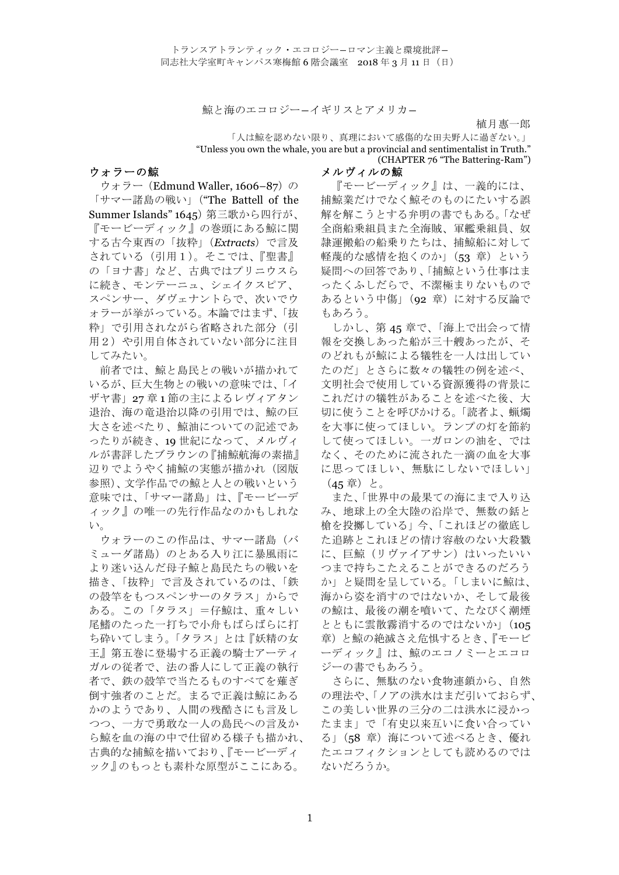鯨と海のエコロジー–イギリスとアメリカ–

植月惠一郎

「人は鯨を認めない限り、真理において感傷的な田夫野人に過ぎない。」 "Unless you own the whale, you are but a provincial and sentimentalist in Truth." (CHAPTER 76 "The Battering-Ram")

メルヴィルの鯨

## ウォラーの鯨

ウォラー (Edmund Waller, 1606–87)の 「サマー諸島の戦い」("The Battell of the Summer Islands" 1645)第三歌から四行が、 『モービーディック』の巻頭にある鯨に関 する古今東西の「抜粋」(*Extracts*)で言及 されている(引用1)。そこでは、『聖書』 の「ヨナ書」など、古典ではプリニウスら に続き、モンテーニュ、シェイクスピア、 スペンサー、ダヴェナントらで、次いでウ ォラーが挙がっている。本論ではまず、「抜 粋」で引用されながら省略された部分(引 用2)や引用自体されていない部分に注目 してみたい。

前者では、鯨と島民との戦いが描かれて いるが、巨大生物との戦いの意味では、「イ ザヤ書」27 章 1 節の主によるレヴィアタン 退治、海の竜退治以降の引用では、鯨の巨 大さを述べたり、鯨油についての記述であ ったりが続き、19 世紀になって、メルヴィ ルが書評したブラウンの『捕鯨航海の素描』 辺りでようやく捕鯨の実態が描かれ(図版 参照)、文学作品での鯨と人との戦いという 意味では、「サマー諸島」は、『モービーデ ィック』の唯一の先行作品なのかもしれな い。

ウォラーのこの作品は、サマー諸島(バ ミューダ諸島)のとある入り江に暴風雨に より迷い込んだ母子鯨と島民たちの戦いを 描き、「抜粋」で言及されているのは、「鉄 の殻竿をもつスペンサーのタラス」からで ある。この「タラス」=仔鯨は、重々しい 尾鰭のたった一打ちで小舟もばらばらに打 ち砕いてしまう。「タラス」とは『妖精の女 王』第五巻に登場する正義の騎士アーティ ガルの従者で、法の番人にして正義の執行 者で、鉄の殻竿で当たるものすべてを薙ぎ 倒す強者のことだ。まるで正義は鯨にある かのようであり、人間の残酷さにも言及し つつ、一方で勇敢な一人の島民への言及か ら鯨を血の海の中で仕留める様子も描かれ、 古典的な捕鯨を描いており、『モービーディ ック』のもっとも素朴な原型がここにある。

『モービーディック』は、一義的には、 捕鯨業だけでなく鯨そのものにたいする誤 解を解こうとする弁明の書でもある。「なぜ 全商船乗組員また全海賊、軍艦乗組員、奴 隷運搬船の船乗りたちは、捕鯨船に対して 軽蔑的な感情を抱くのか」(53 章)という 疑問への回答であり、「捕鯨という仕事はま ったくふしだらで、不潔極まりないもので あるという中傷」(92 章)に対する反論で もあろう。

しかし、第 45 章で、「海上で出会って情 報を交換しあった船が三十艘あったが、そ のどれもが鯨による犠牲を一人は出してい たのだ」とさらに数々の犠牲の例を述べ、 文明社会で使用している資源獲得の背景に これだけの犠牲があることを述べた後、大 切に使うことを呼びかける。「読者よ、蝋燭 を大事に使ってほしい。ランプの灯を節約 して使ってほしい。一ガロンの油を、では なく、そのために流された一滴の血を大事 に思ってほしい、無駄にしないでほしい」 (45章)と。

また、「世界中の最果ての海にまで入り込 み、地球上の全大陸の沿岸で、無数の銛と 槍を投擲している」今、「これほどの徹底し た追跡とこれほどの情け容赦のない大殺戮 に、巨鯨(リヴァイアサン)はいったいい つまで持ちこたえることができるのだろう か」と疑問を呈している。「しまいに鯨は、 海から姿を消すのではないか、そして最後 の鯨は、最後の潮を噴いて、たなびく潮煙 とともに雲散霧消するのではないか」(105 章)と鯨の絶滅さえ危惧するとき、『モービ ーディック』は、鯨のエコノミーとエコロ ジーの書でもあろう。

さらに、無駄のない食物連鎖から、自然 の理法や、「ノアの洪水はまだ引いておらず、 この美しい世界の三分の二は洪水に浸かっ たまま」で「有史以来互いに食い合ってい る」(58 章)海について述べるとき、優れ たエコフィクションとしても読めるのでは ないだろうか。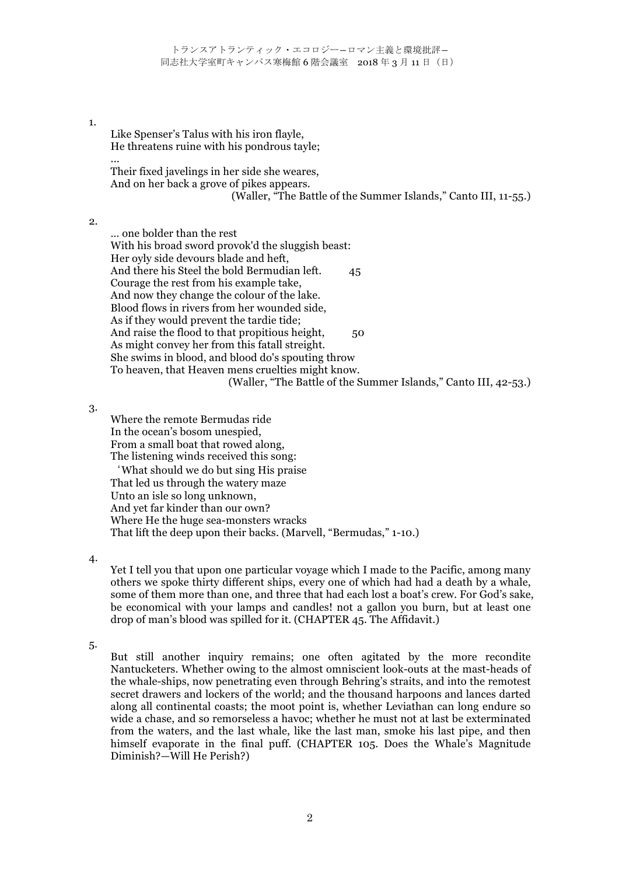## 1.

...

Like Spenser's Talus with his iron flayle, He threatens ruine with his pondrous tayle;

Their fixed javelings in her side she weares, And on her back a grove of pikes appears. (Waller, "The Battle of the Summer Islands," Canto III, 11-55.)

2.

… one bolder than the rest With his broad sword provok'd the sluggish beast: Her oyly side devours blade and heft, And there his Steel the bold Bermudian left. 45 Courage the rest from his example take, And now they change the colour of the lake. Blood flows in rivers from her wounded side, As if they would prevent the tardie tide; And raise the flood to that propitious height, 50 As might convey her from this fatall streight. She swims in blood, and blood do's spouting throw To heaven, that Heaven mens cruelties might know. (Waller, "The Battle of the Summer Islands," Canto III, 42-53.)

3.

Where the remote Bermudas ride In the ocean's bosom unespied, From a small boat that rowed along, The listening winds received this song:

'What should we do but sing His praise That led us through the watery maze Unto an isle so long unknown, And yet far kinder than our own? Where He the huge sea-monsters wracks That lift the deep upon their backs. (Marvell, "Bermudas," 1-10.)

4.

Yet I tell you that upon one particular voyage which I made to the Pacific, among many others we spoke thirty different ships, every one of which had had a death by a whale, some of them more than one, and three that had each lost a boat's crew. For God's sake, be economical with your lamps and candles! not a gallon you burn, but at least one drop of man's blood was spilled for it. (CHAPTER 45. The Affidavit.)

5.

But still another inquiry remains; one often agitated by the more recondite Nantucketers. Whether owing to the almost omniscient look-outs at the mast-heads of the whale-ships, now penetrating even through Behring's straits, and into the remotest secret drawers and lockers of the world; and the thousand harpoons and lances darted along all continental coasts; the moot point is, whether Leviathan can long endure so wide a chase, and so remorseless a havoc; whether he must not at last be exterminated from the waters, and the last whale, like the last man, smoke his last pipe, and then himself evaporate in the final puff. (CHAPTER 105. Does the Whale's Magnitude Diminish?—Will He Perish?)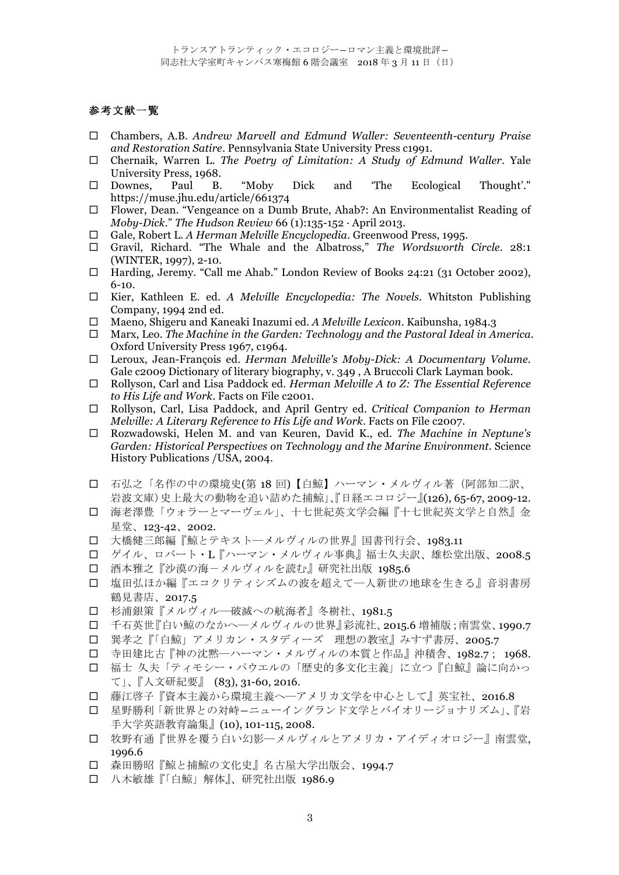## 参考文献一覧

- ! Chambers, A.B. *Andrew Marvell and Edmund Waller: Seventeenth-century Praise and Restoration Satire*. Pennsylvania State University Press c1991.
- ! Chernaik, Warren L. *The Poetry of Limitation: A Study of Edmund Waller*. Yale University Press, 1968.
- ! Downes, Paul B. "Moby Dick and 'The Ecological Thought'." https://muse.jhu.edu/article/661374
- ! Flower, Dean. "Vengeance on a Dumb Brute, Ahab?: An Environmentalist Reading of *Moby-Dick.*" *The Hudson Review* 66 (1):135-152 · April 2013.
- ! Gale, Robert L. *A Herman Melville Encyclopedia*. Greenwood Press, 1995.
- ! Gravil, Richard. "The Whale and the Albatross," *The Wordsworth Circle*. 28:1 (WINTER, 1997), 2-10.
- □ Harding, Jeremy. "Call me Ahab." London Review of Books 24:21 (31 October 2002), 6-10.
- ! Kier, Kathleen E. ed. *A Melville Encyclopedia: The Novels.* Whitston Publishing Company, 1994 2nd ed.
- ! Maeno, Shigeru and Kaneaki Inazumi ed. *A Melville Lexicon*. Kaibunsha, 1984.3
- ! Marx, Leo. *The Machine in the Garden: Technology and the Pastoral Ideal in America*. Oxford University Press 1967, c1964.
- ! Leroux, Jean-François ed. *Herman Melville's Moby-Dick: A Documentary Volume.*  Gale c2009 Dictionary of literary biography, v. 349 , A Bruccoli Clark Layman book.
- ! Rollyson, Carl and Lisa Paddock ed. *Herman Melville A to Z: The Essential Reference to His Life and Work*. Facts on File c2001.
- ! Rollyson, Carl, Lisa Paddock, and April Gentry ed. *Critical Companion to Herman Melville: A Literary Reference to His Life and Work*. Facts on File c2007.
- ! Rozwadowski, Helen M. and van Keuren, David K., ed. *The Machine in Neptune's Garden: Historical Perspectives on Technology and the Marine Environment*. Science History Publications /USA, 2004.
- ! 石弘之「名作の中の環境史(第 18 回)【白鯨】ハーマン・メルヴィル著(阿部知二訳、 岩波文庫)史上最大の動物を追い詰めた捕鯨」、『日経エコロジー』(126), 65-67, 2009-12.
- □ 海老澤豊「ウォラーとマーヴェル」、十七世紀英文学会編『十七世紀英文学と自然』金 星堂、123-42、2002.
- □ 大橋健三郎編『鯨とテキストーメルヴィルの世界』国書刊行会、1983.11
- ! ゲイル、ロバート・L『ハーマン・メルヴィル事典』福士久夫訳、雄松堂出版、2008.5
- ! 酒本雅之『沙漠の海-メルヴィルを読む』研究社出版 1985.6
- □ 塩田弘ほか編『エコクリティシズムの波を超えて–人新世の地球を生きる』音羽書房 鶴見書店、2017.5
- ! 杉浦銀策『メルヴィル―破滅への航海者』冬樹社、1981.5
- ! 千石英世『白い鯨のなかへ―メルヴィルの世界』彩流社、2015.6 増補版;南雲堂、1990.7
- □ 巽孝之『「白鯨」アメリカン・スタディーズ 理想の教室』みすず書房、2005.7
- ! 寺田建比古『神の沈黙―ハーマン・メルヴィルの本質と作品』沖積舎、1982.7; 1968.
- □ 福士 久夫「ティモシー・パウエルの「歴史的多文化主義」に立つ『白鯨』論に向かっ て」、『人文研紀要』 (83), 31-60, 2016.
- ! 藤江啓子『資本主義から環境主義へ―アメリカ文学を中心として』英宝社、2016.8
- □ 星野勝利「新世界との対峙ーニューイングランド文学とバイオリージョナリズム」、『岩 手大学英語教育論集』(10), 101-115, 2008.
- □ 牧野有通『世界を覆う白い幻影―メルヴィルとアメリカ・アイディオロジー』南雲堂, 1996.6
- ! 森田勝昭『鯨と捕鯨の文化史』名古屋大学出版会、1994.7
- 口 八木敏雄『「白鯨」解体』、研究社出版 1986.9